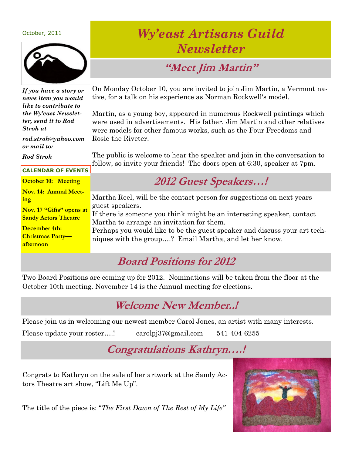#### October, 2011



*If you have a story or news item you would like to contribute to the Wy'east Newsletter, send it to Rod Stroh at*

*rod.stroh@yahoo.com or mail to:*

*Rod Stroh*

#### **CALENDAR OF EVENTS**

**October 10: Meeting Nov. 14: Annual Meeting Nov. 17 "Gifts" opens at Sandy Actors Theatre December 4th: Christmas Party afternoon**

## *Wy'east Artisans Guild Newsletter*

## **"Meet Jim Martin"**

On Monday October 10, you are invited to join Jim Martin, a Vermont native, for a talk on his experience as Norman Rockwell's model.

Martin, as a young boy, appeared in numerous Rockwell paintings which were used in advertisements. His father, Jim Martin and other relatives were models for other famous works, such as the Four Freedoms and Rosie the Riveter.

The public is welcome to hear the speaker and join in the conversation to follow, so invite your friends! The doors open at 6:30, speaker at 7pm.

## **2012 Guest Speakers…!**

Martha Reel, will be the contact person for suggestions on next years guest speakers. If there is someone you think might be an interesting speaker, contact Martha to arrange an invitation for them. Perhaps you would like to be the guest speaker and discuss your art techniques with the group….? Email Martha, and let her know.

#### **Board Positions for 2012**

Two Board Positions are coming up for 2012. Nominations will be taken from the floor at the October 10th meeting. November 14 is the Annual meeting for elections.

#### **Welcome New Member..!**

Please join us in welcoming our newest member Carol Jones, an artist with many interests.

Please update your roster….! carolpj37@gmail.com 541-404-6255

### **Congratulations Kathryn….!**

Congrats to Kathryn on the sale of her artwork at the Sandy Actors Theatre art show, "Lift Me Up".

The title of the piece is: "*The First Dawn of The Rest of My Life"*

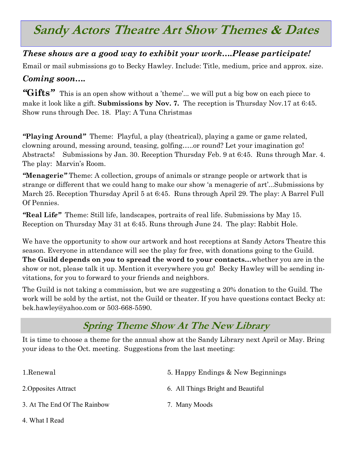## **Sandy Actors Theatre Art Show Themes & Dates**

#### *These shows are a good way to exhibit your work….Please participate!*

Email or mail submissions go to Becky Hawley. Include: Title, medium, price and approx. size.

#### *Coming soon….*

"Gifts" This is an open show without a 'theme'... we will put a big bow on each piece to make it look like a gift. **Submissions by Nov. 7.** The reception is Thursday Nov.17 at 6:45. Show runs through Dec. 18. Play: A Tuna Christmas

*"***Playing Around***"* Theme: Playful, a play (theatrical), playing a game or game related, clowning around, messing around, teasing, golfing…..or round? Let your imagination go! Abstracts! Submissions by Jan. 30. Reception Thursday Feb. 9 at 6:45. Runs through Mar. 4. The play: Marvin's Room.

*"***Menagerie***"* Theme: A collection, groups of animals or strange people or artwork that is strange or different that we could hang to make our show "a menagerie of art"...Submissions by March 25. Reception Thursday April 5 at 6:45. Runs through April 29. The play: A Barrel Full Of Pennies.

*"***Real Lif***e"* Theme: Still life, landscapes, portraits of real life. Submissions by May 15. Reception on Thursday May 31 at 6:45. Runs through June 24. The play: Rabbit Hole.

We have the opportunity to show our artwork and host receptions at Sandy Actors Theatre this season. Everyone in attendance will see the play for free, with donations going to the Guild. **The Guild depends on** *you* **to spread the word to your contacts…**whether you are in the show or not, please talk it up. Mention it everywhere you go! Becky Hawley will be sending invitations, for you to forward to your friends and neighbors.

The Guild is not taking a commission, but we are suggesting a 20% donation to the Guild. The work will be sold by the artist, not the Guild or theater. If you have questions contact Becky at: bek.hawley@yahoo.com or 503-668-5590.

#### **Spring Theme Show At The New Library**

It is time to choose a theme for the annual show at the Sandy Library next April or May. Bring your ideas to the Oct. meeting. Suggestions from the last meeting:

| 1.Renewal                    | 5. Happy Endings & New Beginnings  |
|------------------------------|------------------------------------|
| 2. Opposites Attract         | 6. All Things Bright and Beautiful |
| 3. At The End Of The Rainbow | 7. Many Moods                      |

4. What I Read